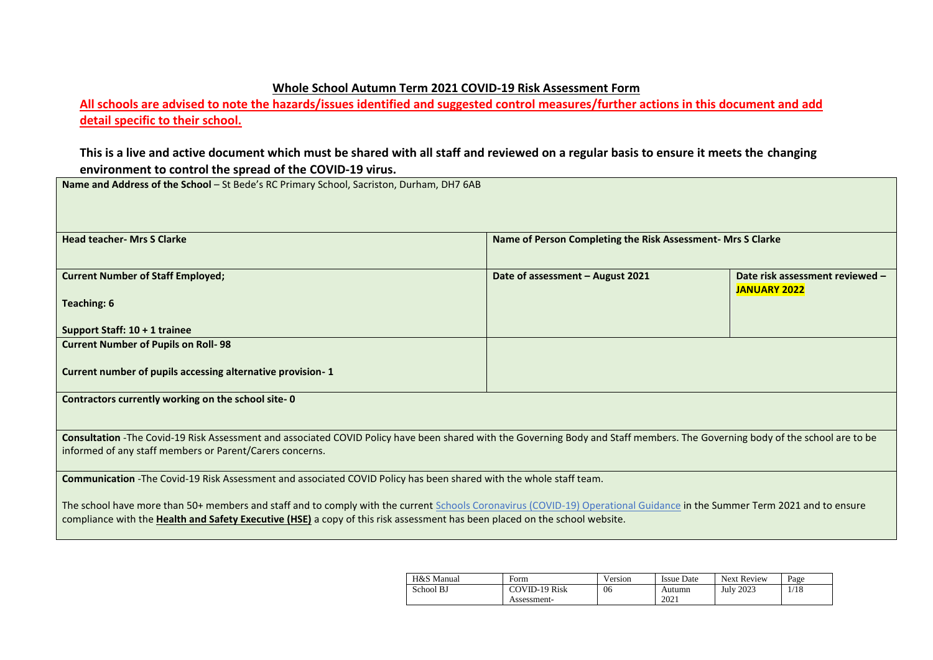## **Whole School Autumn Term 2021 COVID-19 Risk Assessment Form**

**All schools are advised to note the hazards/issues identified and suggested control measures/further actions in this document and add detail specific to their school.** 

## **This is a live and active document which must be shared with all staff and reviewed on a regular basis to ensure it meets the changing environment to control the spread of the COVID-19 virus.**

**Name and Address of the School** – St Bede's RC Primary School, Sacriston, Durham, DH7 6AB

| <b>Head teacher- Mrs S Clarke</b>                                                                                                                                                                                                                                                                              | Name of Person Completing the Risk Assessment- Mrs S Clarke |                                                        |  |  |  |
|----------------------------------------------------------------------------------------------------------------------------------------------------------------------------------------------------------------------------------------------------------------------------------------------------------------|-------------------------------------------------------------|--------------------------------------------------------|--|--|--|
| <b>Current Number of Staff Employed;</b>                                                                                                                                                                                                                                                                       | Date of assessment - August 2021                            | Date risk assessment reviewed -<br><b>JANUARY 2022</b> |  |  |  |
| <b>Teaching: 6</b>                                                                                                                                                                                                                                                                                             |                                                             |                                                        |  |  |  |
| Support Staff: 10 + 1 trainee                                                                                                                                                                                                                                                                                  |                                                             |                                                        |  |  |  |
| <b>Current Number of Pupils on Roll-98</b>                                                                                                                                                                                                                                                                     |                                                             |                                                        |  |  |  |
| Current number of pupils accessing alternative provision-1                                                                                                                                                                                                                                                     |                                                             |                                                        |  |  |  |
| Contractors currently working on the school site-0                                                                                                                                                                                                                                                             |                                                             |                                                        |  |  |  |
| Consultation -The Covid-19 Risk Assessment and associated COVID Policy have been shared with the Governing Body and Staff members. The Governing body of the school are to be                                                                                                                                  |                                                             |                                                        |  |  |  |
| informed of any staff members or Parent/Carers concerns.                                                                                                                                                                                                                                                       |                                                             |                                                        |  |  |  |
| Communication -The Covid-19 Risk Assessment and associated COVID Policy has been shared with the whole staff team.                                                                                                                                                                                             |                                                             |                                                        |  |  |  |
| The school have more than 50+ members and staff and to comply with the current Schools Coronavirus (COVID-19) Operational Guidance in the Summer Term 2021 and to ensure<br>compliance with the <b>Health and Safety Executive (HSE)</b> a copy of this risk assessment has been placed on the school website. |                                                             |                                                        |  |  |  |

| H&S Manual | Form                                | Version | <b>Issue Date</b> | <b>Next Review</b> | Page |
|------------|-------------------------------------|---------|-------------------|--------------------|------|
| School BJ  | <b>COVID-19 Risk</b><br>Assessment- | 06      | Autumn<br>2021    | <b>July 2023</b>   | /18  |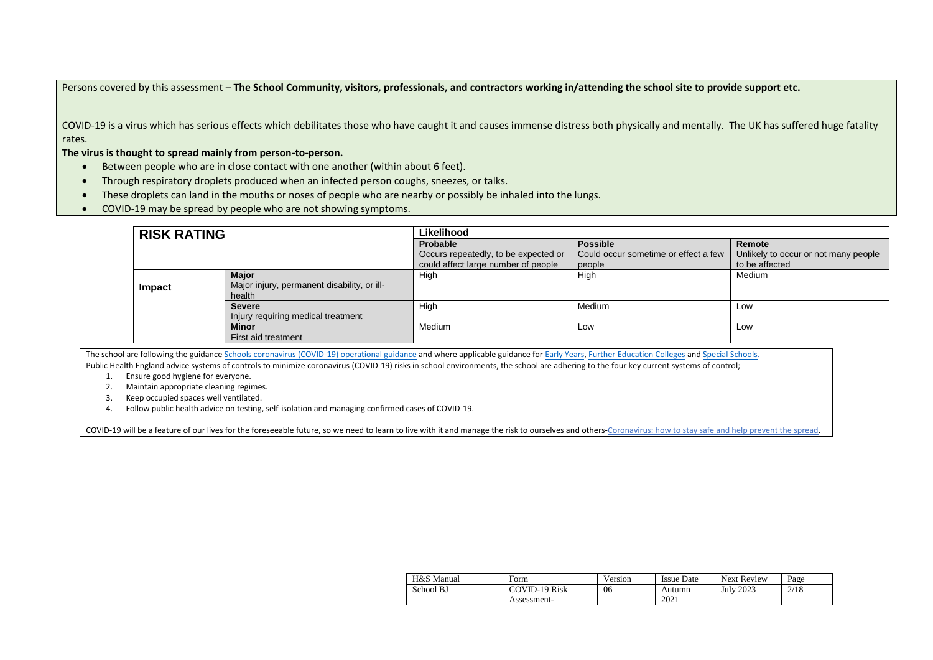Persons covered by this assessment – **The School Community, visitors, professionals, and contractors working in/attending the school site to provide support etc.**

COVID-19 is a virus which has serious effects which debilitates those who have caught it and causes immense distress both physically and mentally. The UK has suffered huge fatality rates.

**The virus is thought to spread mainly from person-to-person.**

- Between people who are in close contact with one another (within about 6 feet).
- Through respiratory droplets produced when an infected person coughs, sneezes, or talks.
- These droplets can land in the mouths or noses of people who are nearby or possibly be inhaled into the lungs.
- COVID-19 may be spread by people who are not showing symptoms.

| <b>RISK RATING</b> |                                             | Likelihood                           |                                      |                                      |
|--------------------|---------------------------------------------|--------------------------------------|--------------------------------------|--------------------------------------|
|                    |                                             | Probable                             | <b>Possible</b>                      | Remote                               |
|                    |                                             | Occurs repeatedly, to be expected or | Could occur sometime or effect a few | Unlikely to occur or not many people |
|                    |                                             | could affect large number of people  | people                               | to be affected                       |
|                    | <b>Major</b>                                | High                                 | High                                 | Medium                               |
| Impact             | Major injury, permanent disability, or ill- |                                      |                                      |                                      |
|                    | health                                      |                                      |                                      |                                      |
|                    | <b>Severe</b>                               | High                                 | Medium                               | Low                                  |
|                    | Injury requiring medical treatment          |                                      |                                      |                                      |
|                    | <b>Minor</b>                                | <b>Medium</b>                        | Low                                  | Low                                  |
|                    | First aid treatment                         |                                      |                                      |                                      |

The school are following the guidanc[e Schools coronavirus \(COVID-19\) operational guidance](https://www.gov.uk/government/publications/actions-for-schools-during-the-coronavirus-outbreak/schools-coronavirus-covid-19-operational-guidance) and where applicable guidance for [Early Years,](https://www.gov.uk/government/publications/coronavirus-covid-19-early-years-and-childcare-closures/actions-for-early-years-and-childcare-providers-during-the-covid-19-pandemic) [Further Education Colleges](https://www.gov.uk/government/publications/coronavirus-covid-19-maintaining-further-education-provision/further-education-covid-19-operational-guidance) and [Special Schools.](https://www.gov.uk/government/publications/guidance-for-full-opening-special-schools-and-other-specialist-settings/send-and-specialist-settings-additional-covid-19-operational-guidance-applies-after-step-4)

Public Health England advice systems of controls to minimize coronavirus (COVID-19) risks in school environments, the school are adhering to the four key current systems of control;

1. Ensure good hygiene for everyone.

2. Maintain appropriate cleaning regimes.

- 3. Keep occupied spaces well ventilated.
- 4. Follow public health advice on testing, self-isolation and managing confirmed cases of COVID-19.

[COVID-19 will be a feature of our lives for the foreseeable future, so we need to learn to live with it and manage the risk to ourselves and others-Coronavirus: how](https://www.gov.uk/guidance/covid-19-coronavirus-restrictions-what-you-can-and-cannot-do?fbclid=IwAR05JnKHSGCw44PjqCdklSq0TdZNY55Qqf_5_MDleT_oAMdmVYhPVoGwdgU) to stay safe and help prevent the spread.

| H&S Manual | Form                 | Version | Issue Date | <b>Next Review</b> | Page |
|------------|----------------------|---------|------------|--------------------|------|
| School BJ  | <b>COVID-19 Risk</b> | 06      | Autumn     | July 2023          | 2/18 |
|            | Assessment-          |         | 2021       |                    |      |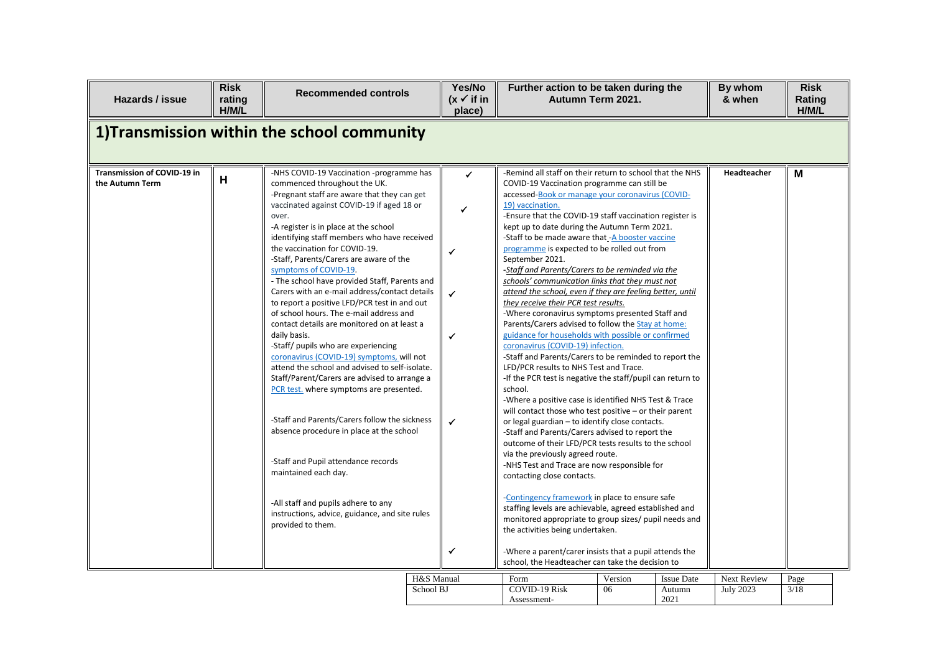| Hazards / issue                                | <b>Risk</b><br>rating<br>H/M/L | <b>Recommended controls</b>                                                                                                                                                                                                                                                                                                                                                                                                                                                                                                                                                                                                                                                                                                                                                                                                                                                                                                                                                                                                                                                                                                                       |                         | Yes/No<br>$(x \vee$ if in<br>place)                              | Further action to be taken during the<br>Autumn Term 2021.                                                                                                                                                                                                                                                                                                                                                                                                                                                                                                                                                                                                                                                                                                                                                                                                                                                                                                                                                                                                                                                                                                                                                                                                                                                                                                                                                                                                                                                                                                                                                                                                                                                                           |               |                             | By whom<br>& when               | <b>Risk</b><br>Rating<br>H/M/L |  |
|------------------------------------------------|--------------------------------|---------------------------------------------------------------------------------------------------------------------------------------------------------------------------------------------------------------------------------------------------------------------------------------------------------------------------------------------------------------------------------------------------------------------------------------------------------------------------------------------------------------------------------------------------------------------------------------------------------------------------------------------------------------------------------------------------------------------------------------------------------------------------------------------------------------------------------------------------------------------------------------------------------------------------------------------------------------------------------------------------------------------------------------------------------------------------------------------------------------------------------------------------|-------------------------|------------------------------------------------------------------|--------------------------------------------------------------------------------------------------------------------------------------------------------------------------------------------------------------------------------------------------------------------------------------------------------------------------------------------------------------------------------------------------------------------------------------------------------------------------------------------------------------------------------------------------------------------------------------------------------------------------------------------------------------------------------------------------------------------------------------------------------------------------------------------------------------------------------------------------------------------------------------------------------------------------------------------------------------------------------------------------------------------------------------------------------------------------------------------------------------------------------------------------------------------------------------------------------------------------------------------------------------------------------------------------------------------------------------------------------------------------------------------------------------------------------------------------------------------------------------------------------------------------------------------------------------------------------------------------------------------------------------------------------------------------------------------------------------------------------------|---------------|-----------------------------|---------------------------------|--------------------------------|--|
|                                                |                                | 1) Transmission within the school community                                                                                                                                                                                                                                                                                                                                                                                                                                                                                                                                                                                                                                                                                                                                                                                                                                                                                                                                                                                                                                                                                                       |                         |                                                                  |                                                                                                                                                                                                                                                                                                                                                                                                                                                                                                                                                                                                                                                                                                                                                                                                                                                                                                                                                                                                                                                                                                                                                                                                                                                                                                                                                                                                                                                                                                                                                                                                                                                                                                                                      |               |                             |                                 |                                |  |
| Transmission of COVID-19 in<br>the Autumn Term | H                              | -NHS COVID-19 Vaccination -programme has<br>commenced throughout the UK.<br>-Pregnant staff are aware that they can get<br>vaccinated against COVID-19 if aged 18 or<br>over.<br>-A register is in place at the school<br>identifying staff members who have received<br>the vaccination for COVID-19.<br>-Staff, Parents/Carers are aware of the<br>symptoms of COVID-19.<br>- The school have provided Staff, Parents and<br>Carers with an e-mail address/contact details<br>to report a positive LFD/PCR test in and out<br>of school hours. The e-mail address and<br>contact details are monitored on at least a<br>daily basis.<br>-Staff/ pupils who are experiencing<br>coronavirus (COVID-19) symptoms, will not<br>attend the school and advised to self-isolate.<br>Staff/Parent/Carers are advised to arrange a<br>PCR test. where symptoms are presented.<br>-Staff and Parents/Carers follow the sickness<br>absence procedure in place at the school<br>-Staff and Pupil attendance records<br>maintained each day.<br>-All staff and pupils adhere to any<br>instructions, advice, guidance, and site rules<br>provided to them. |                         | ✓<br>✓<br>$\checkmark$<br>✓<br>✓<br>$\checkmark$<br>$\checkmark$ | -Remind all staff on their return to school that the NHS<br>COVID-19 Vaccination programme can still be<br>accessed-Book or manage your coronavirus (COVID-<br>19) vaccination.<br>-Ensure that the COVID-19 staff vaccination register is<br>kept up to date during the Autumn Term 2021.<br>-Staff to be made aware that -A booster vaccine<br>programme is expected to be rolled out from<br>September 2021.<br>-Staff and Parents/Carers to be reminded via the<br>schools' communication links that they must not<br>attend the school, even if they are feeling better, until<br>they receive their PCR test results.<br>-Where coronavirus symptoms presented Staff and<br>Parents/Carers advised to follow the Stay at home:<br>guidance for households with possible or confirmed<br>coronavirus (COVID-19) infection.<br>-Staff and Parents/Carers to be reminded to report the<br>LFD/PCR results to NHS Test and Trace.<br>-If the PCR test is negative the staff/pupil can return to<br>school.<br>-Where a positive case is identified NHS Test & Trace<br>will contact those who test positive - or their parent<br>or legal guardian - to identify close contacts.<br>-Staff and Parents/Carers advised to report the<br>outcome of their LFD/PCR tests results to the school<br>via the previously agreed route.<br>-NHS Test and Trace are now responsible for<br>contacting close contacts.<br>Contingency framework in place to ensure safe<br>staffing levels are achievable, agreed established and<br>monitored appropriate to group sizes/ pupil needs and<br>the activities being undertaken.<br>-Where a parent/carer insists that a pupil attends the<br>school, the Headteacher can take the decision to |               |                             | Headteacher                     | M                              |  |
|                                                |                                |                                                                                                                                                                                                                                                                                                                                                                                                                                                                                                                                                                                                                                                                                                                                                                                                                                                                                                                                                                                                                                                                                                                                                   | H&S Manual<br>School BJ |                                                                  | Form<br><b>COVID-19 Risk</b>                                                                                                                                                                                                                                                                                                                                                                                                                                                                                                                                                                                                                                                                                                                                                                                                                                                                                                                                                                                                                                                                                                                                                                                                                                                                                                                                                                                                                                                                                                                                                                                                                                                                                                         | Version<br>06 | <b>Issue Date</b><br>Autumn | Next Review<br><b>July 2023</b> | Page<br>3/18                   |  |
|                                                |                                |                                                                                                                                                                                                                                                                                                                                                                                                                                                                                                                                                                                                                                                                                                                                                                                                                                                                                                                                                                                                                                                                                                                                                   |                         |                                                                  | Assessment-                                                                                                                                                                                                                                                                                                                                                                                                                                                                                                                                                                                                                                                                                                                                                                                                                                                                                                                                                                                                                                                                                                                                                                                                                                                                                                                                                                                                                                                                                                                                                                                                                                                                                                                          |               | 2021                        |                                 |                                |  |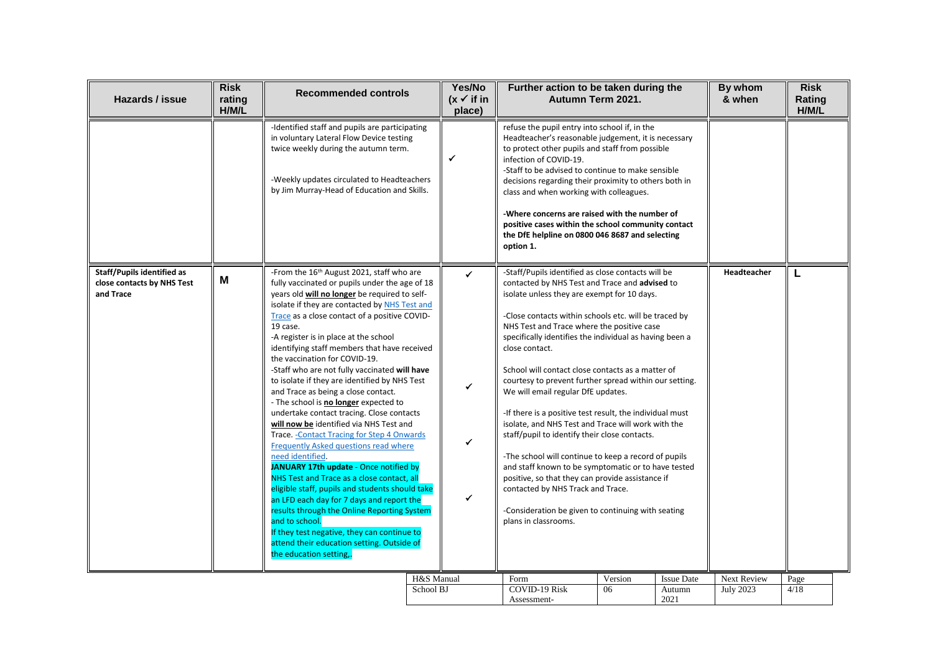| Hazards / issue                                                       | <b>Risk</b><br>rating<br>H/M/L | <b>Recommended controls</b>                                                                                                                                                                                                                                                                                                                                                                                                                                                                                                                                                                                                                                                                                                                                                                                                                                                                                                                                                                                                                                                                                                                                           | Yes/No<br>$(x \vee$ if in<br>place) | Further action to be taken during the<br>Autumn Term 2021.                                                                                                                                                                                                                                                                                                                                                                                                                                                                                                                                                                                                                                                                                                                                                                                                                                                                                            |               |                             | By whom<br>& when               | <b>Risk</b><br>Rating<br>H/M/L |
|-----------------------------------------------------------------------|--------------------------------|-----------------------------------------------------------------------------------------------------------------------------------------------------------------------------------------------------------------------------------------------------------------------------------------------------------------------------------------------------------------------------------------------------------------------------------------------------------------------------------------------------------------------------------------------------------------------------------------------------------------------------------------------------------------------------------------------------------------------------------------------------------------------------------------------------------------------------------------------------------------------------------------------------------------------------------------------------------------------------------------------------------------------------------------------------------------------------------------------------------------------------------------------------------------------|-------------------------------------|-------------------------------------------------------------------------------------------------------------------------------------------------------------------------------------------------------------------------------------------------------------------------------------------------------------------------------------------------------------------------------------------------------------------------------------------------------------------------------------------------------------------------------------------------------------------------------------------------------------------------------------------------------------------------------------------------------------------------------------------------------------------------------------------------------------------------------------------------------------------------------------------------------------------------------------------------------|---------------|-----------------------------|---------------------------------|--------------------------------|
|                                                                       |                                | -Identified staff and pupils are participating<br>in voluntary Lateral Flow Device testing<br>twice weekly during the autumn term.<br>-Weekly updates circulated to Headteachers<br>by Jim Murray-Head of Education and Skills.                                                                                                                                                                                                                                                                                                                                                                                                                                                                                                                                                                                                                                                                                                                                                                                                                                                                                                                                       | $\checkmark$                        | refuse the pupil entry into school if, in the<br>Headteacher's reasonable judgement, it is necessary<br>to protect other pupils and staff from possible<br>infection of COVID-19.<br>-Staff to be advised to continue to make sensible<br>decisions regarding their proximity to others both in<br>class and when working with colleagues.<br>-Where concerns are raised with the number of<br>positive cases within the school community contact<br>the DfE helpline on 0800 046 8687 and selecting<br>option 1.                                                                                                                                                                                                                                                                                                                                                                                                                                     |               |                             |                                 |                                |
| Staff/Pupils identified as<br>close contacts by NHS Test<br>and Trace | M                              | -From the 16 <sup>th</sup> August 2021, staff who are<br>fully vaccinated or pupils under the age of 18<br>years old will no longer be required to self-<br>isolate if they are contacted by NHS Test and<br>Trace as a close contact of a positive COVID-<br>19 case.<br>-A register is in place at the school<br>identifying staff members that have received<br>the vaccination for COVID-19.<br>-Staff who are not fully vaccinated will have<br>to isolate if they are identified by NHS Test<br>and Trace as being a close contact.<br>- The school is no longer expected to<br>undertake contact tracing. Close contacts<br>will now be identified via NHS Test and<br>Trace. - Contact Tracing for Step 4 Onwards<br>Frequently Asked questions read where<br>need identified.<br>JANUARY 17th update - Once notified by<br>NHS Test and Trace as a close contact, all<br>eligible staff, pupils and students should take<br>an LFD each day for 7 days and report the<br>results through the Online Reporting System<br>and to school.<br>If they test negative, they can continue to<br>attend their education setting. Outside of<br>the education setting | ✓<br>✓<br>✓<br>✓                    | -Staff/Pupils identified as close contacts will be<br>contacted by NHS Test and Trace and advised to<br>isolate unless they are exempt for 10 days.<br>-Close contacts within schools etc. will be traced by<br>NHS Test and Trace where the positive case<br>specifically identifies the individual as having been a<br>close contact.<br>School will contact close contacts as a matter of<br>courtesy to prevent further spread within our setting.<br>We will email regular DfE updates.<br>-If there is a positive test result, the individual must<br>isolate, and NHS Test and Trace will work with the<br>staff/pupil to identify their close contacts.<br>-The school will continue to keep a record of pupils<br>and staff known to be symptomatic or to have tested<br>positive, so that they can provide assistance if<br>contacted by NHS Track and Trace.<br>-Consideration be given to continuing with seating<br>plans in classrooms. |               |                             | Headteacher                     |                                |
|                                                                       |                                |                                                                                                                                                                                                                                                                                                                                                                                                                                                                                                                                                                                                                                                                                                                                                                                                                                                                                                                                                                                                                                                                                                                                                                       | H&S Manual<br>School BJ             | Form<br><b>COVID-19 Risk</b>                                                                                                                                                                                                                                                                                                                                                                                                                                                                                                                                                                                                                                                                                                                                                                                                                                                                                                                          | Version<br>06 | <b>Issue Date</b><br>Autumn | Next Review<br><b>July 2023</b> | Page<br>4/18                   |
|                                                                       |                                |                                                                                                                                                                                                                                                                                                                                                                                                                                                                                                                                                                                                                                                                                                                                                                                                                                                                                                                                                                                                                                                                                                                                                                       |                                     | Assessment-                                                                                                                                                                                                                                                                                                                                                                                                                                                                                                                                                                                                                                                                                                                                                                                                                                                                                                                                           |               | 2021                        |                                 |                                |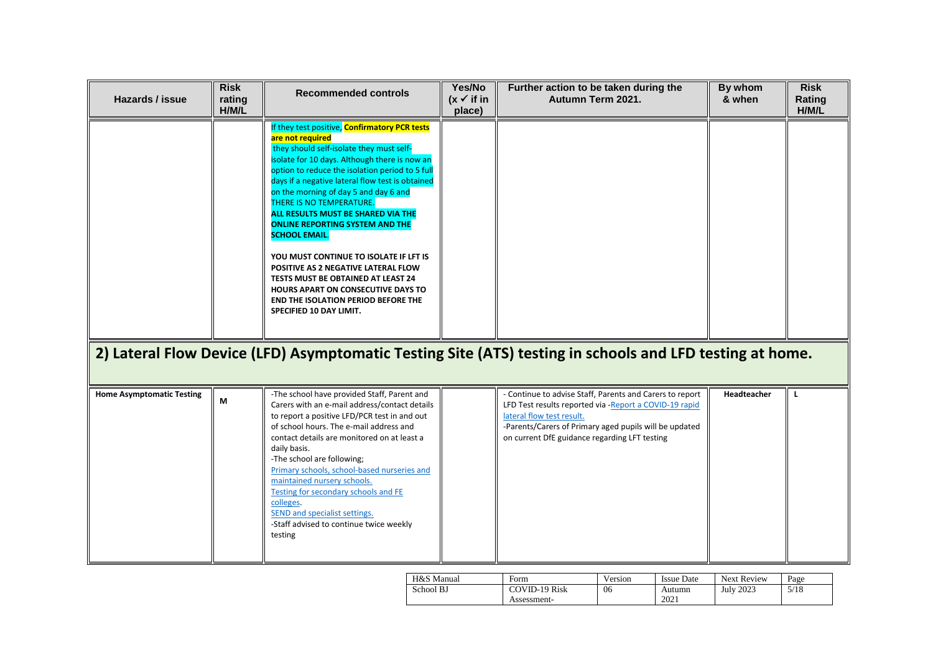| Hazards / issue                  | <b>Risk</b><br>rating<br>H/M/L | <b>Recommended controls</b>                                                                                                                                                                                                                                                                                                                                                                                                                                                                                                                                                                                                                                                                     | Yes/No<br>$(x \checkmark)$ if in<br>place) | Further action to be taken during the<br>Autumn Term 2021.                                                                                                                                                                                                  | By whom<br>& when | <b>Risk</b><br>Rating<br>H/M/L |
|----------------------------------|--------------------------------|-------------------------------------------------------------------------------------------------------------------------------------------------------------------------------------------------------------------------------------------------------------------------------------------------------------------------------------------------------------------------------------------------------------------------------------------------------------------------------------------------------------------------------------------------------------------------------------------------------------------------------------------------------------------------------------------------|--------------------------------------------|-------------------------------------------------------------------------------------------------------------------------------------------------------------------------------------------------------------------------------------------------------------|-------------------|--------------------------------|
|                                  |                                | If they test positive, <b>Confirmatory PCR tests</b><br>are not required<br>they should self-isolate they must self-<br>isolate for 10 days. Although there is now an<br>option to reduce the isolation period to 5 full<br>days if a negative lateral flow test is obtained<br>on the morning of day 5 and day 6 and<br>THERE IS NO TEMPERATURE.<br>ALL RESULTS MUST BE SHARED VIA THE<br><b>ONLINE REPORTING SYSTEM AND THE</b><br><b>SCHOOL EMAIL.</b><br>YOU MUST CONTINUE TO ISOLATE IF LFT IS<br>POSITIVE AS 2 NEGATIVE LATERAL FLOW<br>TESTS MUST BE OBTAINED AT LEAST 24<br>HOURS APART ON CONSECUTIVE DAYS TO<br><b>END THE ISOLATION PERIOD BEFORE THE</b><br>SPECIFIED 10 DAY LIMIT. |                                            |                                                                                                                                                                                                                                                             |                   |                                |
|                                  |                                |                                                                                                                                                                                                                                                                                                                                                                                                                                                                                                                                                                                                                                                                                                 |                                            | 2) Lateral Flow Device (LFD) Asymptomatic Testing Site (ATS) testing in schools and LFD testing at home.                                                                                                                                                    |                   |                                |
| <b>Home Asymptomatic Testing</b> | М                              | -The school have provided Staff, Parent and<br>Carers with an e-mail address/contact details<br>to report a positive LFD/PCR test in and out<br>of school hours. The e-mail address and<br>contact details are monitored on at least a<br>daily basis.<br>-The school are following;<br>Primary schools, school-based nurseries and<br>maintained nursery schools.<br>Testing for secondary schools and FE<br>colleges.<br>SEND and specialist settings.<br>-Staff advised to continue twice weekly<br>testing                                                                                                                                                                                  |                                            | - Continue to advise Staff, Parents and Carers to report<br>LFD Test results reported via - Report a COVID-19 rapid<br>lateral flow test result.<br>-Parents/Carers of Primary aged pupils will be updated<br>on current DfE guidance regarding LFT testing | Headteacher       |                                |

| H&S Manual | Form          | Version | <b>Issue Date</b> | Next Review      | Page |
|------------|---------------|---------|-------------------|------------------|------|
| School BJ  | COVID-19 Risk | 06      | Autumn            | <b>July 2023</b> | 5/18 |
|            | Assessment-   |         | 2021              |                  |      |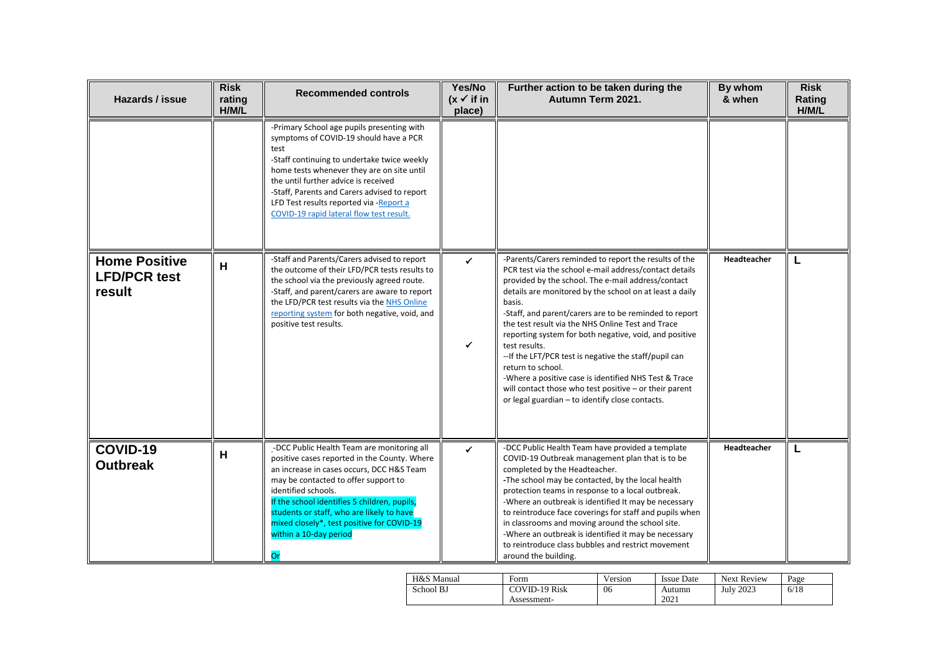| Hazards / issue                                       | <b>Risk</b><br>rating<br>H/M/L | <b>Recommended controls</b>                                                                                                                                                                                                                                                                                                                                                       | Yes/No<br>$(x \checkmark)$ if in<br>place) | Further action to be taken during the<br>Autumn Term 2021.                                                                                                                                                                                                                                                                                                                                                                                                                                                                                                                                                                                                                                | By whom<br>& when  | <b>Risk</b><br>Rating<br>H/M/L |
|-------------------------------------------------------|--------------------------------|-----------------------------------------------------------------------------------------------------------------------------------------------------------------------------------------------------------------------------------------------------------------------------------------------------------------------------------------------------------------------------------|--------------------------------------------|-------------------------------------------------------------------------------------------------------------------------------------------------------------------------------------------------------------------------------------------------------------------------------------------------------------------------------------------------------------------------------------------------------------------------------------------------------------------------------------------------------------------------------------------------------------------------------------------------------------------------------------------------------------------------------------------|--------------------|--------------------------------|
|                                                       |                                | -Primary School age pupils presenting with<br>symptoms of COVID-19 should have a PCR<br>test<br>-Staff continuing to undertake twice weekly<br>home tests whenever they are on site until<br>the until further advice is received<br>-Staff, Parents and Carers advised to report<br>LFD Test results reported via -Report a<br>COVID-19 rapid lateral flow test result.          |                                            |                                                                                                                                                                                                                                                                                                                                                                                                                                                                                                                                                                                                                                                                                           |                    |                                |
| <b>Home Positive</b><br><b>LFD/PCR test</b><br>result | H                              | -Staff and Parents/Carers advised to report<br>the outcome of their LFD/PCR tests results to<br>the school via the previously agreed route.<br>-Staff, and parent/carers are aware to report<br>the LFD/PCR test results via the NHS Online<br>reporting system for both negative, void, and<br>positive test results.                                                            | ✓<br>$\checkmark$                          | -Parents/Carers reminded to report the results of the<br>PCR test via the school e-mail address/contact details<br>provided by the school. The e-mail address/contact<br>details are monitored by the school on at least a daily<br>basis.<br>-Staff, and parent/carers are to be reminded to report<br>the test result via the NHS Online Test and Trace<br>reporting system for both negative, void, and positive<br>test results.<br>-- If the LFT/PCR test is negative the staff/pupil can<br>return to school.<br>-Where a positive case is identified NHS Test & Trace<br>will contact those who test positive - or their parent<br>or legal guardian - to identify close contacts. | Headteacher        | L                              |
| COVID-19<br><b>Outbreak</b>                           | H                              | -DCC Public Health Team are monitoring all<br>positive cases reported in the County. Where<br>an increase in cases occurs, DCC H&S Team<br>may be contacted to offer support to<br>identified schools.<br>If the school identifies 5 children, pupils,<br>students or staff, who are likely to have<br>mixed closely*, test positive for COVID-19<br>within a 10-day period<br>Or | ✓                                          | -DCC Public Health Team have provided a template<br>COVID-19 Outbreak management plan that is to be<br>completed by the Headteacher.<br>-The school may be contacted, by the local health<br>protection teams in response to a local outbreak.<br>-Where an outbreak is identified It may be necessary<br>to reintroduce face coverings for staff and pupils when<br>in classrooms and moving around the school site.<br>-Where an outbreak is identified it may be necessary<br>to reintroduce class bubbles and restrict movement<br>around the building.                                                                                                                               | <b>Headteacher</b> | L                              |

| H&S Manual | Form                 | Version | Issue Date | <b>Next Review</b> | Page |
|------------|----------------------|---------|------------|--------------------|------|
| School BJ  | <b>COVID-19 Risk</b> | 06      | Autumn     | <b>July 2023</b>   | 6/18 |
|            | Assessment-          |         | 2021       |                    |      |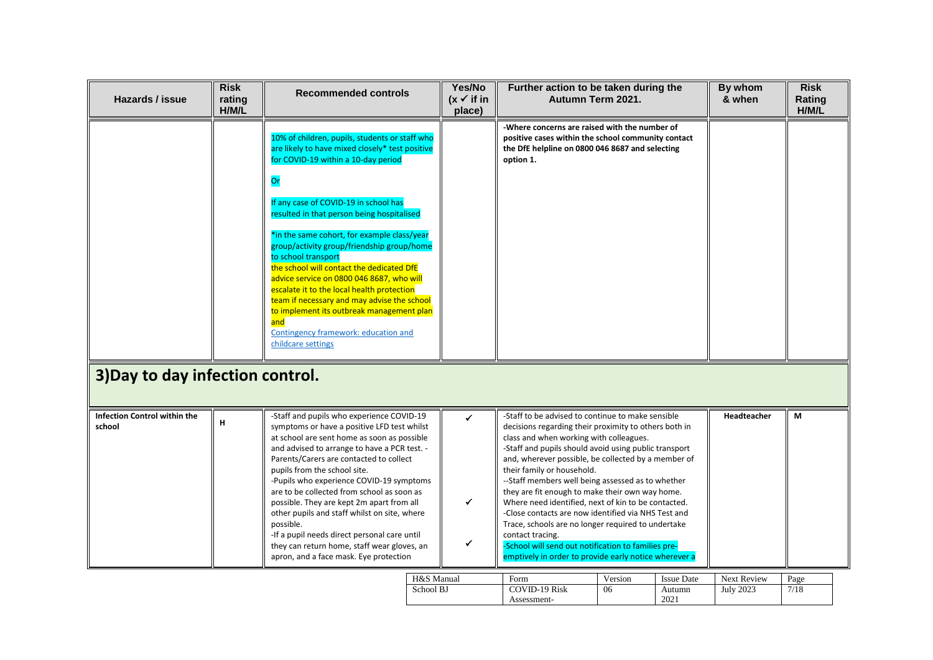| Hazards / issue                               | <b>Risk</b><br>rating<br>H/M/L | <b>Recommended controls</b>                                                                                                                                                                                                                                                                                                                                                                                                                                                                                                                                                                                                                                        | Yes/No<br>$(x \vee$ if in<br>place) | Further action to be taken during the<br>Autumn Term 2021.                                                                                                                                                                                                                                                                                                                                                                                                                                                                                                                                                                                                                                                          |               |                                     | By whom<br>& when               | <b>Risk</b><br>Rating<br>H/M/L |
|-----------------------------------------------|--------------------------------|--------------------------------------------------------------------------------------------------------------------------------------------------------------------------------------------------------------------------------------------------------------------------------------------------------------------------------------------------------------------------------------------------------------------------------------------------------------------------------------------------------------------------------------------------------------------------------------------------------------------------------------------------------------------|-------------------------------------|---------------------------------------------------------------------------------------------------------------------------------------------------------------------------------------------------------------------------------------------------------------------------------------------------------------------------------------------------------------------------------------------------------------------------------------------------------------------------------------------------------------------------------------------------------------------------------------------------------------------------------------------------------------------------------------------------------------------|---------------|-------------------------------------|---------------------------------|--------------------------------|
|                                               |                                | 10% of children, pupils, students or staff who<br>are likely to have mixed closely* test positive<br>for COVID-19 within a 10-day period<br>Or<br>If any case of COVID-19 in school has<br>resulted in that person being hospitalised<br>*in the same cohort, for example class/year<br>group/activity group/friendship group/home<br>to school transport<br>the school will contact the dedicated DfE<br>advice service on 0800 046 8687, who will<br>escalate it to the local health protection<br>team if necessary and may advise the school<br>to implement its outbreak management plan<br>and<br>Contingency framework: education and<br>childcare settings |                                     | -Where concerns are raised with the number of<br>positive cases within the school community contact<br>the DfE helpline on 0800 046 8687 and selecting<br>option 1.                                                                                                                                                                                                                                                                                                                                                                                                                                                                                                                                                 |               |                                     |                                 |                                |
| 3) Day to day infection control.              |                                |                                                                                                                                                                                                                                                                                                                                                                                                                                                                                                                                                                                                                                                                    |                                     |                                                                                                                                                                                                                                                                                                                                                                                                                                                                                                                                                                                                                                                                                                                     |               |                                     |                                 |                                |
| <b>Infection Control within the</b><br>school | H                              | -Staff and pupils who experience COVID-19<br>symptoms or have a positive LFD test whilst<br>at school are sent home as soon as possible<br>and advised to arrange to have a PCR test. -<br>Parents/Carers are contacted to collect<br>pupils from the school site.<br>-Pupils who experience COVID-19 symptoms<br>are to be collected from school as soon as<br>possible. They are kept 2m apart from all<br>other pupils and staff whilst on site, where<br>possible.<br>-If a pupil needs direct personal care until<br>they can return home, staff wear gloves, an<br>apron, and a face mask. Eye protection                                                    | ✓<br>✔<br>✔                         | -Staff to be advised to continue to make sensible<br>decisions regarding their proximity to others both in<br>class and when working with colleagues.<br>-Staff and pupils should avoid using public transport<br>and, wherever possible, be collected by a member of<br>their family or household.<br>--Staff members well being assessed as to whether<br>they are fit enough to make their own way home.<br>Where need identified, next of kin to be contacted.<br>-Close contacts are now identified via NHS Test and<br>Trace, schools are no longer required to undertake<br>contact tracing.<br>-School will send out notification to families pre-<br>emptively in order to provide early notice wherever a |               |                                     | Headteacher                     | М                              |
|                                               |                                | H&S Manual<br>School BJ                                                                                                                                                                                                                                                                                                                                                                                                                                                                                                                                                                                                                                            |                                     | Form<br><b>COVID-19 Risk</b><br>Assessment-                                                                                                                                                                                                                                                                                                                                                                                                                                                                                                                                                                                                                                                                         | Version<br>06 | <b>Issue Date</b><br>Autumn<br>2021 | Next Review<br><b>July 2023</b> | Page<br>7/18                   |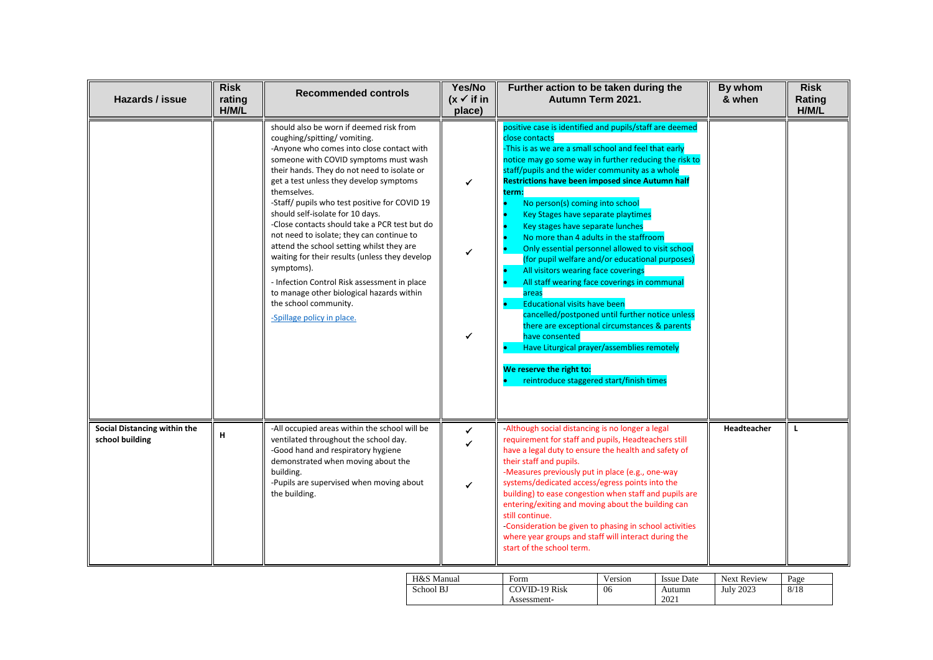| Hazards / issue                                 | <b>Risk</b><br>rating<br>H/M/L | <b>Recommended controls</b>                                                                                                                                                                                                                                                                                                                                                                                                                                                                                                                                                                                                                                                                                               | Yes/No<br>$(x \vee$ if in<br>place) | Further action to be taken during the<br>Autumn Term 2021.                                                                                                                                                                                                                                                                                                                                                                                                                                                                                                                                                                                                                                                                                                                                                                                                                                                                                                          | By whom<br>& when | <b>Risk</b><br>Rating<br>H/M/L |
|-------------------------------------------------|--------------------------------|---------------------------------------------------------------------------------------------------------------------------------------------------------------------------------------------------------------------------------------------------------------------------------------------------------------------------------------------------------------------------------------------------------------------------------------------------------------------------------------------------------------------------------------------------------------------------------------------------------------------------------------------------------------------------------------------------------------------------|-------------------------------------|---------------------------------------------------------------------------------------------------------------------------------------------------------------------------------------------------------------------------------------------------------------------------------------------------------------------------------------------------------------------------------------------------------------------------------------------------------------------------------------------------------------------------------------------------------------------------------------------------------------------------------------------------------------------------------------------------------------------------------------------------------------------------------------------------------------------------------------------------------------------------------------------------------------------------------------------------------------------|-------------------|--------------------------------|
|                                                 |                                | should also be worn if deemed risk from<br>coughing/spitting/vomiting.<br>-Anyone who comes into close contact with<br>someone with COVID symptoms must wash<br>their hands. They do not need to isolate or<br>get a test unless they develop symptoms<br>themselves.<br>-Staff/ pupils who test positive for COVID 19<br>should self-isolate for 10 days.<br>-Close contacts should take a PCR test but do<br>not need to isolate; they can continue to<br>attend the school setting whilst they are<br>waiting for their results (unless they develop<br>symptoms).<br>- Infection Control Risk assessment in place<br>to manage other biological hazards within<br>the school community.<br>-Spillage policy in place. | ✓<br>✔<br>✓                         | positive case is identified and pupils/staff are deemed<br>close contacts<br>This is as we are a small school and feel that early<br>notice may go some way in further reducing the risk to<br>staff/pupils and the wider community as a whole<br><b>Restrictions have been imposed since Autumn half</b><br>term:<br>No person(s) coming into school<br>Key Stages have separate playtimes<br>Key stages have separate lunches<br>No more than 4 adults in the staffroom<br>Only essential personnel allowed to visit school<br>(for pupil welfare and/or educational purposes)<br>All visitors wearing face coverings<br>All staff wearing face coverings in communal<br>areas<br><b>Educational visits have been</b><br>cancelled/postponed until further notice unless<br>there are exceptional circumstances & parents<br>have consented<br>Have Liturgical prayer/assemblies remotely<br>We reserve the right to:<br>reintroduce staggered start/finish times |                   |                                |
| Social Distancing within the<br>school building | н                              | -All occupied areas within the school will be<br>ventilated throughout the school day.<br>-Good hand and respiratory hygiene<br>demonstrated when moving about the<br>building.<br>-Pupils are supervised when moving about<br>the building.                                                                                                                                                                                                                                                                                                                                                                                                                                                                              | $\checkmark$<br>$\checkmark$        | -Although social distancing is no longer a legal<br>requirement for staff and pupils, Headteachers still<br>have a legal duty to ensure the health and safety of<br>their staff and pupils.<br>-Measures previously put in place (e.g., one-way<br>systems/dedicated access/egress points into the<br>building) to ease congestion when staff and pupils are<br>entering/exiting and moving about the building can<br>still continue.<br>-Consideration be given to phasing in school activities<br>where year groups and staff will interact during the<br>start of the school term.                                                                                                                                                                                                                                                                                                                                                                               | Headteacher       | L                              |

| H&S Manual | Form                 | Version | Issue Date | <b>Next Review</b> | Page |
|------------|----------------------|---------|------------|--------------------|------|
| School BJ  | <b>COVID-19 Risk</b> | 06      | Autumn     | <b>July 2023</b>   | 8/18 |
|            | Assessment-          |         | 2021       |                    |      |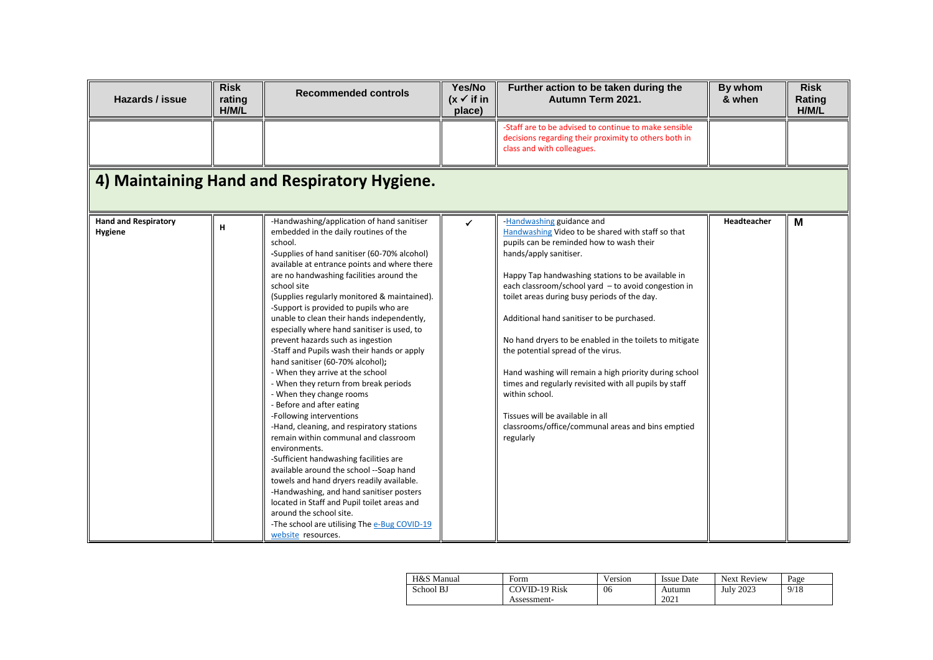| Hazards / issue                        | <b>Risk</b><br>rating<br>H/M/L | <b>Recommended controls</b>                                                                                                                                                                                                                                                                                                                                                                                                                                                                                                                                                                                                                                                                                                                                                                                                                                                                                                                                                                                                                                                                                                                                                    | Yes/No<br>$(x \vee$ if in<br>place) | Further action to be taken during the<br>Autumn Term 2021.                                                                                                                                                                                                                                                                                                                                                                                                                                                                                                                                                                                                                                                  | By whom<br>& when | <b>Risk</b><br>Rating<br>H/M/L |
|----------------------------------------|--------------------------------|--------------------------------------------------------------------------------------------------------------------------------------------------------------------------------------------------------------------------------------------------------------------------------------------------------------------------------------------------------------------------------------------------------------------------------------------------------------------------------------------------------------------------------------------------------------------------------------------------------------------------------------------------------------------------------------------------------------------------------------------------------------------------------------------------------------------------------------------------------------------------------------------------------------------------------------------------------------------------------------------------------------------------------------------------------------------------------------------------------------------------------------------------------------------------------|-------------------------------------|-------------------------------------------------------------------------------------------------------------------------------------------------------------------------------------------------------------------------------------------------------------------------------------------------------------------------------------------------------------------------------------------------------------------------------------------------------------------------------------------------------------------------------------------------------------------------------------------------------------------------------------------------------------------------------------------------------------|-------------------|--------------------------------|
|                                        |                                |                                                                                                                                                                                                                                                                                                                                                                                                                                                                                                                                                                                                                                                                                                                                                                                                                                                                                                                                                                                                                                                                                                                                                                                |                                     | -Staff are to be advised to continue to make sensible<br>decisions regarding their proximity to others both in<br>class and with colleagues.                                                                                                                                                                                                                                                                                                                                                                                                                                                                                                                                                                |                   |                                |
|                                        |                                | 4) Maintaining Hand and Respiratory Hygiene.                                                                                                                                                                                                                                                                                                                                                                                                                                                                                                                                                                                                                                                                                                                                                                                                                                                                                                                                                                                                                                                                                                                                   |                                     |                                                                                                                                                                                                                                                                                                                                                                                                                                                                                                                                                                                                                                                                                                             |                   |                                |
| <b>Hand and Respiratory</b><br>Hygiene | н                              | -Handwashing/application of hand sanitiser<br>embedded in the daily routines of the<br>school.<br>-Supplies of hand sanitiser (60-70% alcohol)<br>available at entrance points and where there<br>are no handwashing facilities around the<br>school site<br>(Supplies regularly monitored & maintained).<br>-Support is provided to pupils who are<br>unable to clean their hands independently,<br>especially where hand sanitiser is used, to<br>prevent hazards such as ingestion<br>-Staff and Pupils wash their hands or apply<br>hand sanitiser (60-70% alcohol);<br>- When they arrive at the school<br>- When they return from break periods<br>- When they change rooms<br>- Before and after eating<br>-Following interventions<br>-Hand, cleaning, and respiratory stations<br>remain within communal and classroom<br>environments.<br>-Sufficient handwashing facilities are<br>available around the school --Soap hand<br>towels and hand dryers readily available.<br>-Handwashing, and hand sanitiser posters<br>located in Staff and Pupil toilet areas and<br>around the school site.<br>-The school are utilising The e-Bug COVID-19<br>website resources. | ✔                                   | -Handwashing guidance and<br>Handwashing Video to be shared with staff so that<br>pupils can be reminded how to wash their<br>hands/apply sanitiser.<br>Happy Tap handwashing stations to be available in<br>each classroom/school yard - to avoid congestion in<br>toilet areas during busy periods of the day.<br>Additional hand sanitiser to be purchased.<br>No hand dryers to be enabled in the toilets to mitigate<br>the potential spread of the virus.<br>Hand washing will remain a high priority during school<br>times and regularly revisited with all pupils by staff<br>within school.<br>Tissues will be available in all<br>classrooms/office/communal areas and bins emptied<br>regularly | Headteacher       | M                              |

| H&S Manual | Form                 | Version | <b>Issue Date</b> | <b>Next Review</b> | Page |
|------------|----------------------|---------|-------------------|--------------------|------|
| School BJ  | <b>COVID-19 Risk</b> | 06      | Autumn            | <b>July 2023</b>   | 9/18 |
|            | Assessment-          |         | 2021              |                    |      |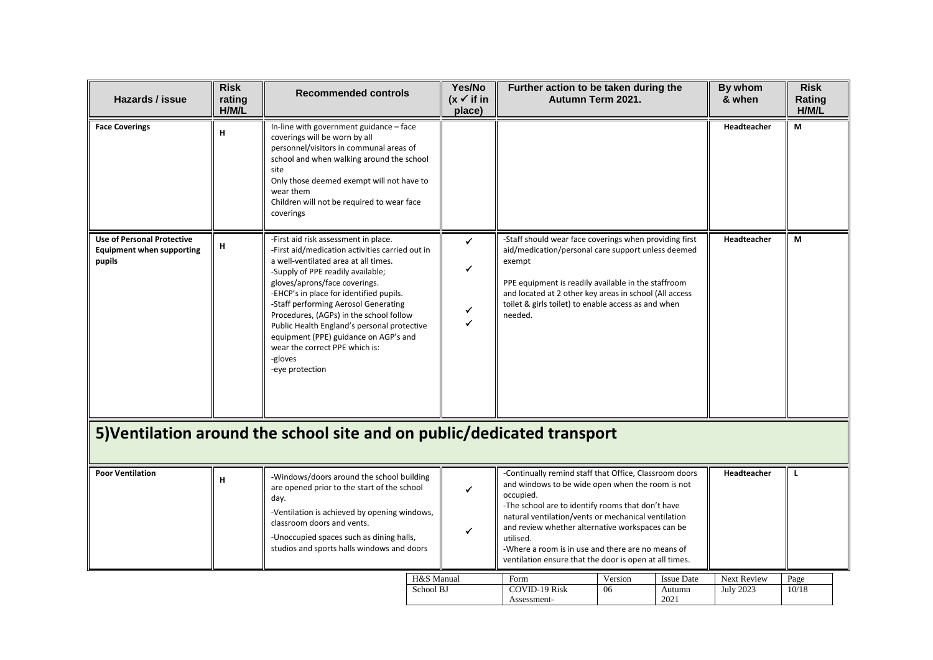| Hazards / issue                                                                 | <b>Risk</b><br>rating<br>H/M/L | <b>Recommended controls</b>                                                                                                                                                                                                                                                                                                                                                                                                                                                                 |            | Yes/No<br>$(x \checkmark)$ if in<br>place) | Further action to be taken during the<br>Autumn Term 2021.                                                                                                                                                                                                                                                                                                                                                          |         |                   | By whom<br>& when | <b>Risk</b><br>Rating<br>H/M/L |
|---------------------------------------------------------------------------------|--------------------------------|---------------------------------------------------------------------------------------------------------------------------------------------------------------------------------------------------------------------------------------------------------------------------------------------------------------------------------------------------------------------------------------------------------------------------------------------------------------------------------------------|------------|--------------------------------------------|---------------------------------------------------------------------------------------------------------------------------------------------------------------------------------------------------------------------------------------------------------------------------------------------------------------------------------------------------------------------------------------------------------------------|---------|-------------------|-------------------|--------------------------------|
| <b>Face Coverings</b>                                                           | н                              | In-line with government guidance - face<br>coverings will be worn by all<br>personnel/visitors in communal areas of<br>school and when walking around the school<br>site<br>Only those deemed exempt will not have to<br>wear them<br>Children will not be required to wear face<br>coverings                                                                                                                                                                                               |            |                                            |                                                                                                                                                                                                                                                                                                                                                                                                                     |         |                   | Headteacher       | М                              |
| <b>Use of Personal Protective</b><br><b>Equipment when supporting</b><br>pupils | н                              | -First aid risk assessment in place.<br>-First aid/medication activities carried out in<br>a well-ventilated area at all times.<br>-Supply of PPE readily available;<br>gloves/aprons/face coverings.<br>-EHCP's in place for identified pupils.<br>-Staff performing Aerosol Generating<br>Procedures, (AGPs) in the school follow<br>Public Health England's personal protective<br>equipment (PPE) guidance on AGP's and<br>wear the correct PPE which is:<br>-gloves<br>-eye protection |            | ✓<br>✓<br>✔                                | -Staff should wear face coverings when providing first<br>aid/medication/personal care support unless deemed<br>exempt<br>PPE equipment is readily available in the staffroom<br>and located at 2 other key areas in school (All access<br>toilet & girls toilet) to enable access as and when<br>needed.                                                                                                           |         |                   | Headteacher       | М                              |
|                                                                                 |                                | 5) Ventilation around the school site and on public/dedicated transport                                                                                                                                                                                                                                                                                                                                                                                                                     |            |                                            |                                                                                                                                                                                                                                                                                                                                                                                                                     |         |                   |                   |                                |
| <b>Poor Ventilation</b>                                                         | н                              | -Windows/doors around the school building<br>are opened prior to the start of the school<br>day.<br>-Ventilation is achieved by opening windows,<br>classroom doors and vents.<br>-Unoccupied spaces such as dining halls,<br>studios and sports halls windows and doors                                                                                                                                                                                                                    |            | ✔<br>✔                                     | -Continually remind staff that Office, Classroom doors<br>and windows to be wide open when the room is not<br>occupied.<br>-The school are to identify rooms that don't have<br>natural ventilation/vents or mechanical ventilation<br>and review whether alternative workspaces can be<br>utilised.<br>-Where a room is in use and there are no means of<br>ventilation ensure that the door is open at all times. |         |                   | Headteacher       | L                              |
|                                                                                 |                                |                                                                                                                                                                                                                                                                                                                                                                                                                                                                                             | H&S Manual |                                            | Form                                                                                                                                                                                                                                                                                                                                                                                                                | Version | <b>Issue Date</b> | Next Review       | Page                           |
|                                                                                 |                                |                                                                                                                                                                                                                                                                                                                                                                                                                                                                                             | School BJ  |                                            | <b>COVID-19 Risk</b><br>Assessment-                                                                                                                                                                                                                                                                                                                                                                                 | 06      | Autumn<br>2021    | <b>July 2023</b>  | 10/18                          |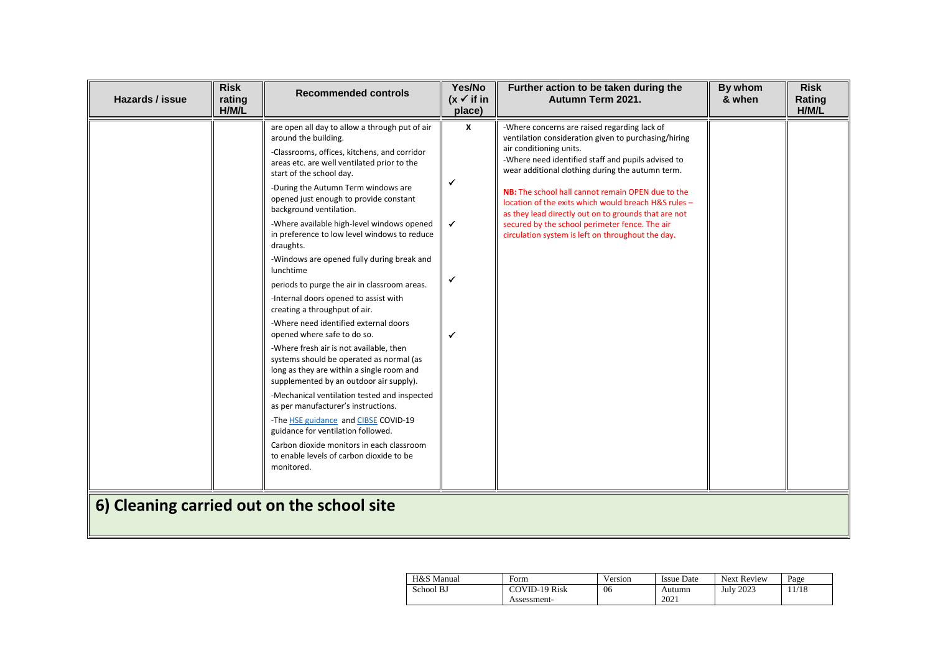| Hazards / issue | <b>Risk</b><br>rating<br>H/M/L | <b>Recommended controls</b>                                                                                                                                                                                                                                                                                                                                                                                                                                                                                                                                                                                                                                                                                                                                                                                                                                                                                                                                                                                                                                                                                                                      | Yes/No<br>$(x \vee$ if in<br>place) | Further action to be taken during the<br>Autumn Term 2021.                                                                                                                                                                                                                                                                                                                                                                                                                                                            | By whom<br>& when | <b>Risk</b><br>Rating<br>H/M/L |
|-----------------|--------------------------------|--------------------------------------------------------------------------------------------------------------------------------------------------------------------------------------------------------------------------------------------------------------------------------------------------------------------------------------------------------------------------------------------------------------------------------------------------------------------------------------------------------------------------------------------------------------------------------------------------------------------------------------------------------------------------------------------------------------------------------------------------------------------------------------------------------------------------------------------------------------------------------------------------------------------------------------------------------------------------------------------------------------------------------------------------------------------------------------------------------------------------------------------------|-------------------------------------|-----------------------------------------------------------------------------------------------------------------------------------------------------------------------------------------------------------------------------------------------------------------------------------------------------------------------------------------------------------------------------------------------------------------------------------------------------------------------------------------------------------------------|-------------------|--------------------------------|
|                 |                                | are open all day to allow a through put of air<br>around the building.<br>-Classrooms, offices, kitchens, and corridor<br>areas etc. are well ventilated prior to the<br>start of the school day.<br>-During the Autumn Term windows are<br>opened just enough to provide constant<br>background ventilation.<br>-Where available high-level windows opened<br>in preference to low level windows to reduce<br>draughts.<br>-Windows are opened fully during break and<br>lunchtime<br>periods to purge the air in classroom areas.<br>-Internal doors opened to assist with<br>creating a throughput of air.<br>-Where need identified external doors<br>opened where safe to do so.<br>-Where fresh air is not available, then<br>systems should be operated as normal (as<br>long as they are within a single room and<br>supplemented by an outdoor air supply).<br>-Mechanical ventilation tested and inspected<br>as per manufacturer's instructions.<br>-The HSE guidance and CIBSE COVID-19<br>guidance for ventilation followed.<br>Carbon dioxide monitors in each classroom<br>to enable levels of carbon dioxide to be<br>monitored. | x<br>✓<br>$\checkmark$              | -Where concerns are raised regarding lack of<br>ventilation consideration given to purchasing/hiring<br>air conditioning units.<br>-Where need identified staff and pupils advised to<br>wear additional clothing during the autumn term.<br>NB: The school hall cannot remain OPEN due to the<br>location of the exits which would breach H&S rules -<br>as they lead directly out on to grounds that are not<br>secured by the school perimeter fence. The air<br>circulation system is left on throughout the day. |                   |                                |
|                 |                                | 6) Cleaning carried out on the school site                                                                                                                                                                                                                                                                                                                                                                                                                                                                                                                                                                                                                                                                                                                                                                                                                                                                                                                                                                                                                                                                                                       |                                     |                                                                                                                                                                                                                                                                                                                                                                                                                                                                                                                       |                   |                                |

| H&S Manual | Form                 | Version | <b>Issue Date</b> | <b>Next Review</b> | Page |
|------------|----------------------|---------|-------------------|--------------------|------|
| School BJ  | <b>COVID-19 Risk</b> | 06      | Autumn            | <b>July 2023</b>   | 1/18 |
|            | Assessment-          |         | 2021              |                    |      |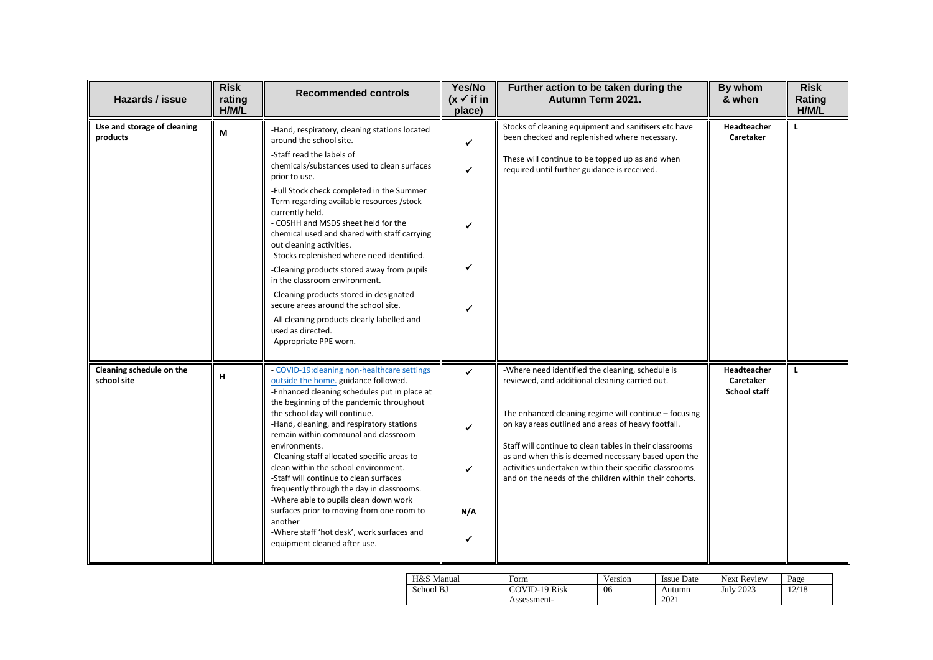| Hazards / issue                         | <b>Risk</b><br>rating<br>H/M/L | <b>Recommended controls</b>                                                                                                                                                                                                                                                                                                                                                                                                                                                                                                                                                                                                                                                                                         | Yes/No<br>$(x \vee$ if in<br>place)           | Further action to be taken during the<br>Autumn Term 2021.                                                                                                                                                                                                                                                                                                                                                                                              | By whom<br>& when                               | <b>Risk</b><br>Rating<br>H/M/L |
|-----------------------------------------|--------------------------------|---------------------------------------------------------------------------------------------------------------------------------------------------------------------------------------------------------------------------------------------------------------------------------------------------------------------------------------------------------------------------------------------------------------------------------------------------------------------------------------------------------------------------------------------------------------------------------------------------------------------------------------------------------------------------------------------------------------------|-----------------------------------------------|---------------------------------------------------------------------------------------------------------------------------------------------------------------------------------------------------------------------------------------------------------------------------------------------------------------------------------------------------------------------------------------------------------------------------------------------------------|-------------------------------------------------|--------------------------------|
| Use and storage of cleaning<br>products | M                              | -Hand, respiratory, cleaning stations located<br>around the school site.<br>-Staff read the labels of<br>chemicals/substances used to clean surfaces<br>prior to use.<br>-Full Stock check completed in the Summer<br>Term regarding available resources /stock<br>currently held.<br>- COSHH and MSDS sheet held for the<br>chemical used and shared with staff carrying<br>out cleaning activities.<br>-Stocks replenished where need identified.<br>-Cleaning products stored away from pupils<br>in the classroom environment.<br>-Cleaning products stored in designated<br>secure areas around the school site.<br>-All cleaning products clearly labelled and<br>used as directed.<br>-Appropriate PPE worn. | ✓<br>$\checkmark$<br>✔<br>✔<br>✔              | Stocks of cleaning equipment and sanitisers etc have<br>been checked and replenished where necessary.<br>These will continue to be topped up as and when<br>required until further guidance is received.                                                                                                                                                                                                                                                | Headteacher<br>Caretaker                        | п.                             |
| Cleaning schedule on the<br>school site | н                              | - COVID-19: cleaning non-healthcare settings<br>outside the home. guidance followed.<br>-Enhanced cleaning schedules put in place at<br>the beginning of the pandemic throughout<br>the school day will continue.<br>-Hand, cleaning, and respiratory stations<br>remain within communal and classroom<br>environments.<br>-Cleaning staff allocated specific areas to<br>clean within the school environment.<br>-Staff will continue to clean surfaces<br>frequently through the day in classrooms.<br>-Where able to pupils clean down work<br>surfaces prior to moving from one room to<br>another<br>-Where staff 'hot desk', work surfaces and<br>equipment cleaned after use.                                | $\checkmark$<br>$\checkmark$<br>✔<br>N/A<br>✔ | -Where need identified the cleaning, schedule is<br>reviewed, and additional cleaning carried out.<br>The enhanced cleaning regime will continue - focusing<br>on kay areas outlined and areas of heavy footfall.<br>Staff will continue to clean tables in their classrooms<br>as and when this is deemed necessary based upon the<br>activities undertaken within their specific classrooms<br>and on the needs of the children within their cohorts. | Headteacher<br>Caretaker<br><b>School staff</b> | L                              |

| H&S Manual | Form                 | Version | <b>Issue Date</b> | <b>Next Review</b> | Page  |
|------------|----------------------|---------|-------------------|--------------------|-------|
| School BJ  | <b>COVID-19 Risk</b> | 06      | Autumn            | <b>July 2023</b>   | 12/18 |
|            | Assessment-          |         | 2021              |                    |       |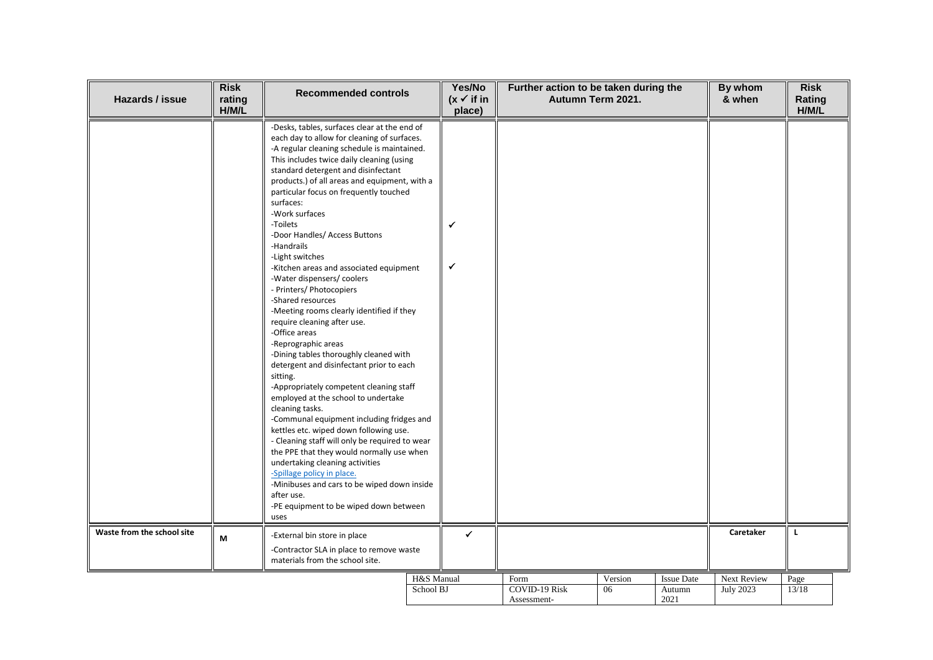| Hazards / issue            | <b>Risk</b><br>rating<br>H/M/L | <b>Recommended controls</b>                                                                                                                                                                                                                                                                                                                                                                                                                                                                                                                                                                                                                                                                                                                                                                                                                                                                                                                                                                                                                                                                                                                                                                                                                                       | Yes/No<br>$(x \checkmark)$ if in<br>place) | Further action to be taken during the       | Autumn Term 2021. |                                     | By whom<br>& when               | <b>Risk</b><br>Rating<br>H/M/L |
|----------------------------|--------------------------------|-------------------------------------------------------------------------------------------------------------------------------------------------------------------------------------------------------------------------------------------------------------------------------------------------------------------------------------------------------------------------------------------------------------------------------------------------------------------------------------------------------------------------------------------------------------------------------------------------------------------------------------------------------------------------------------------------------------------------------------------------------------------------------------------------------------------------------------------------------------------------------------------------------------------------------------------------------------------------------------------------------------------------------------------------------------------------------------------------------------------------------------------------------------------------------------------------------------------------------------------------------------------|--------------------------------------------|---------------------------------------------|-------------------|-------------------------------------|---------------------------------|--------------------------------|
|                            |                                | -Desks, tables, surfaces clear at the end of<br>each day to allow for cleaning of surfaces.<br>-A regular cleaning schedule is maintained.<br>This includes twice daily cleaning (using<br>standard detergent and disinfectant<br>products.) of all areas and equipment, with a<br>particular focus on frequently touched<br>surfaces:<br>-Work surfaces<br>-Toilets<br>-Door Handles/ Access Buttons<br>-Handrails<br>-Light switches<br>-Kitchen areas and associated equipment<br>-Water dispensers/ coolers<br>- Printers/ Photocopiers<br>-Shared resources<br>-Meeting rooms clearly identified if they<br>require cleaning after use.<br>-Office areas<br>-Reprographic areas<br>-Dining tables thoroughly cleaned with<br>detergent and disinfectant prior to each<br>sitting.<br>-Appropriately competent cleaning staff<br>employed at the school to undertake<br>cleaning tasks.<br>-Communal equipment including fridges and<br>kettles etc. wiped down following use.<br>- Cleaning staff will only be required to wear<br>the PPE that they would normally use when<br>undertaking cleaning activities<br>-Spillage policy in place.<br>-Minibuses and cars to be wiped down inside<br>after use.<br>-PE equipment to be wiped down between<br>uses |                                            |                                             |                   |                                     |                                 |                                |
| Waste from the school site | M                              | -External bin store in place<br>-Contractor SLA in place to remove waste<br>materials from the school site.                                                                                                                                                                                                                                                                                                                                                                                                                                                                                                                                                                                                                                                                                                                                                                                                                                                                                                                                                                                                                                                                                                                                                       | ✓                                          |                                             |                   |                                     | Caretaker                       | L                              |
|                            |                                | School BJ                                                                                                                                                                                                                                                                                                                                                                                                                                                                                                                                                                                                                                                                                                                                                                                                                                                                                                                                                                                                                                                                                                                                                                                                                                                         | H&S Manual                                 | Form<br><b>COVID-19 Risk</b><br>Assessment- | Version<br>06     | <b>Issue Date</b><br>Autumn<br>2021 | Next Review<br><b>July 2023</b> | Page<br>13/18                  |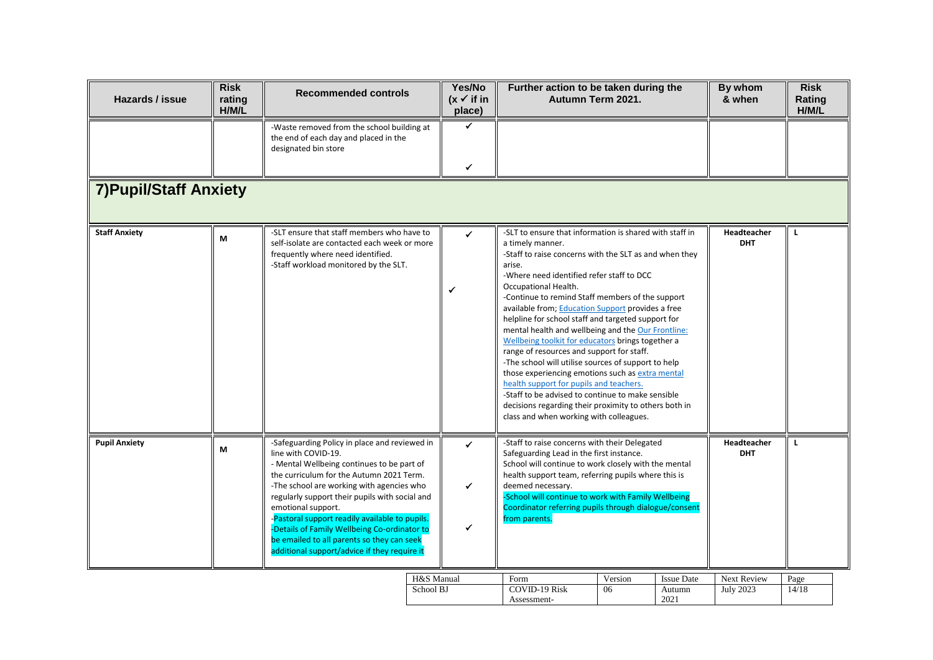| Hazards / issue               | <b>Risk</b><br>rating<br>H/M/L | <b>Recommended controls</b>                                                                                                                                                                                                                                                                                                                                                                                                                                                         | Yes/No<br>$(x \checkmark)$ if in<br>place) | Further action to be taken during the<br>Autumn Term 2021.                                                                                                                                                                                                                                                                                                                                                                                                                                                                                                                                                                                                                                                                                                                                                                                                 |               |                                     | By whom<br>& when               | <b>Risk</b><br>Rating<br>H/M/L |
|-------------------------------|--------------------------------|-------------------------------------------------------------------------------------------------------------------------------------------------------------------------------------------------------------------------------------------------------------------------------------------------------------------------------------------------------------------------------------------------------------------------------------------------------------------------------------|--------------------------------------------|------------------------------------------------------------------------------------------------------------------------------------------------------------------------------------------------------------------------------------------------------------------------------------------------------------------------------------------------------------------------------------------------------------------------------------------------------------------------------------------------------------------------------------------------------------------------------------------------------------------------------------------------------------------------------------------------------------------------------------------------------------------------------------------------------------------------------------------------------------|---------------|-------------------------------------|---------------------------------|--------------------------------|
|                               |                                | -Waste removed from the school building at<br>the end of each day and placed in the<br>designated bin store                                                                                                                                                                                                                                                                                                                                                                         | ✔                                          |                                                                                                                                                                                                                                                                                                                                                                                                                                                                                                                                                                                                                                                                                                                                                                                                                                                            |               |                                     |                                 |                                |
| <b>7) Pupil/Staff Anxiety</b> |                                |                                                                                                                                                                                                                                                                                                                                                                                                                                                                                     |                                            |                                                                                                                                                                                                                                                                                                                                                                                                                                                                                                                                                                                                                                                                                                                                                                                                                                                            |               |                                     |                                 |                                |
| <b>Staff Anxiety</b>          | M                              | -SLT ensure that staff members who have to<br>self-isolate are contacted each week or more<br>frequently where need identified.<br>-Staff workload monitored by the SLT.                                                                                                                                                                                                                                                                                                            | $\checkmark$<br>✓                          | -SLT to ensure that information is shared with staff in<br>a timely manner.<br>-Staff to raise concerns with the SLT as and when they<br>arise.<br>-Where need identified refer staff to DCC<br>Occupational Health.<br>-Continue to remind Staff members of the support<br>available from; Education Support provides a free<br>helpline for school staff and targeted support for<br>mental health and wellbeing and the Our Frontline:<br>Wellbeing toolkit for educators brings together a<br>range of resources and support for staff.<br>-The school will utilise sources of support to help<br>those experiencing emotions such as extra mental<br>health support for pupils and teachers.<br>-Staff to be advised to continue to make sensible<br>decisions regarding their proximity to others both in<br>class and when working with colleagues. |               |                                     | Headteacher<br><b>DHT</b>       | L                              |
| <b>Pupil Anxiety</b>          | M                              | -Safeguarding Policy in place and reviewed in<br>line with COVID-19.<br>- Mental Wellbeing continues to be part of<br>the curriculum for the Autumn 2021 Term.<br>-The school are working with agencies who<br>regularly support their pupils with social and<br>emotional support.<br>-Pastoral support readily available to pupils.<br>-Details of Family Wellbeing Co-ordinator to<br>be emailed to all parents so they can seek<br>additional support/advice if they require it | $\checkmark$<br>✓<br>✓                     | -Staff to raise concerns with their Delegated<br>Safeguarding Lead in the first instance.<br>School will continue to work closely with the mental<br>health support team, referring pupils where this is<br>deemed necessary.<br>-School will continue to work with Family Wellbeing<br>Coordinator referring pupils through dialogue/consent<br>from parents.                                                                                                                                                                                                                                                                                                                                                                                                                                                                                             |               |                                     | Headteacher<br><b>DHT</b>       | L                              |
|                               |                                |                                                                                                                                                                                                                                                                                                                                                                                                                                                                                     | H&S Manual<br>School BJ                    | Form<br><b>COVID-19 Risk</b><br>Assessment-                                                                                                                                                                                                                                                                                                                                                                                                                                                                                                                                                                                                                                                                                                                                                                                                                | Version<br>06 | <b>Issue Date</b><br>Autumn<br>2021 | Next Review<br><b>July 2023</b> | Page<br>14/18                  |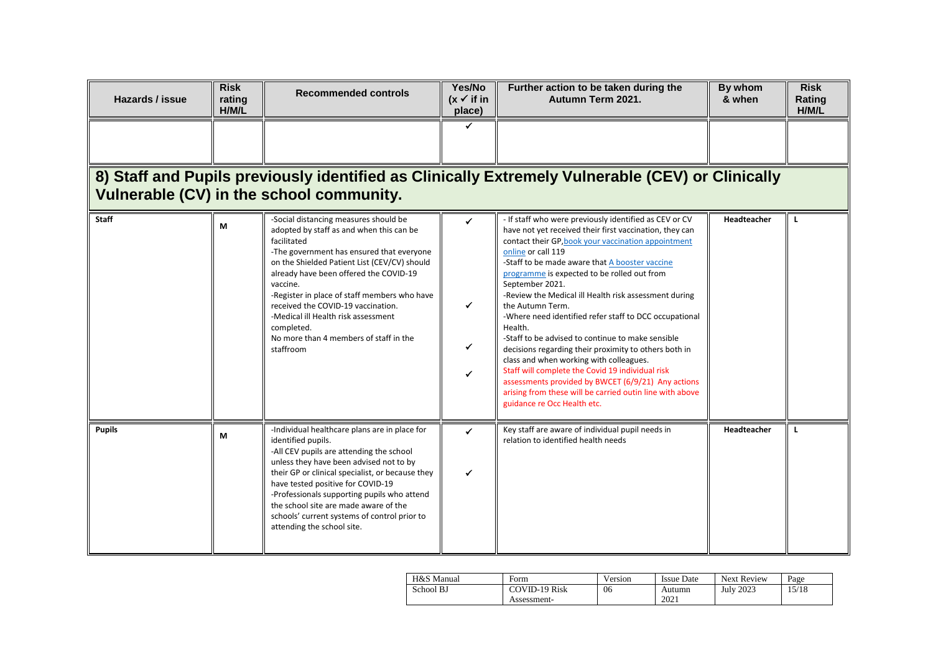| Hazards / issue                                                                                                                              | <b>Risk</b><br>rating<br>H/M/L | <b>Recommended controls</b>                                                                                                                                                                                                                                                                                                                                                                                                                           | Yes/No<br>$(x \vee$ if in<br>place) | Further action to be taken during the<br>Autumn Term 2021.                                                                                                                                                                                                                                                                                                                                                                                                                                                                                                                                                                                                                                                                                                                                                                         | By whom<br>& when | <b>Risk</b><br>Rating<br>H/M/L |  |  |  |
|----------------------------------------------------------------------------------------------------------------------------------------------|--------------------------------|-------------------------------------------------------------------------------------------------------------------------------------------------------------------------------------------------------------------------------------------------------------------------------------------------------------------------------------------------------------------------------------------------------------------------------------------------------|-------------------------------------|------------------------------------------------------------------------------------------------------------------------------------------------------------------------------------------------------------------------------------------------------------------------------------------------------------------------------------------------------------------------------------------------------------------------------------------------------------------------------------------------------------------------------------------------------------------------------------------------------------------------------------------------------------------------------------------------------------------------------------------------------------------------------------------------------------------------------------|-------------------|--------------------------------|--|--|--|
|                                                                                                                                              |                                |                                                                                                                                                                                                                                                                                                                                                                                                                                                       | ✓                                   |                                                                                                                                                                                                                                                                                                                                                                                                                                                                                                                                                                                                                                                                                                                                                                                                                                    |                   |                                |  |  |  |
| 8) Staff and Pupils previously identified as Clinically Extremely Vulnerable (CEV) or Clinically<br>Vulnerable (CV) in the school community. |                                |                                                                                                                                                                                                                                                                                                                                                                                                                                                       |                                     |                                                                                                                                                                                                                                                                                                                                                                                                                                                                                                                                                                                                                                                                                                                                                                                                                                    |                   |                                |  |  |  |
| <b>Staff</b>                                                                                                                                 | М                              | -Social distancing measures should be<br>adopted by staff as and when this can be<br>facilitated<br>-The government has ensured that everyone<br>on the Shielded Patient List (CEV/CV) should<br>already have been offered the COVID-19<br>vaccine.<br>-Register in place of staff members who have<br>received the COVID-19 vaccination.<br>-Medical ill Health risk assessment<br>completed.<br>No more than 4 members of staff in the<br>staffroom | ✓<br>✓<br>✔<br>✔                    | - If staff who were previously identified as CEV or CV<br>have not yet received their first vaccination, they can<br>contact their GP, book your vaccination appointment<br>online or call 119<br>-Staff to be made aware that A booster vaccine<br>programme is expected to be rolled out from<br>September 2021.<br>-Review the Medical ill Health risk assessment during<br>the Autumn Term.<br>-Where need identified refer staff to DCC occupational<br>Health.<br>-Staff to be advised to continue to make sensible<br>decisions regarding their proximity to others both in<br>class and when working with colleagues.<br>Staff will complete the Covid 19 individual risk<br>assessments provided by BWCET (6/9/21) Any actions<br>arising from these will be carried outin line with above<br>guidance re Occ Health etc. | Headteacher       | L                              |  |  |  |
| <b>Pupils</b>                                                                                                                                | М                              | -Individual healthcare plans are in place for<br>identified pupils.<br>-All CEV pupils are attending the school<br>unless they have been advised not to by<br>their GP or clinical specialist, or because they<br>have tested positive for COVID-19<br>-Professionals supporting pupils who attend<br>the school site are made aware of the<br>schools' current systems of control prior to<br>attending the school site.                             | ✓                                   | Key staff are aware of individual pupil needs in<br>relation to identified health needs                                                                                                                                                                                                                                                                                                                                                                                                                                                                                                                                                                                                                                                                                                                                            | Headteacher       |                                |  |  |  |

| H&S Manual | Form                 | Version | Issue Date | <b>Next Review</b> | Page  |
|------------|----------------------|---------|------------|--------------------|-------|
| School BJ  | <b>COVID-19 Risk</b> | 06      | Autumn     | <b>July 2023</b>   | 15/18 |
|            | Assessment-          |         | 2021       |                    |       |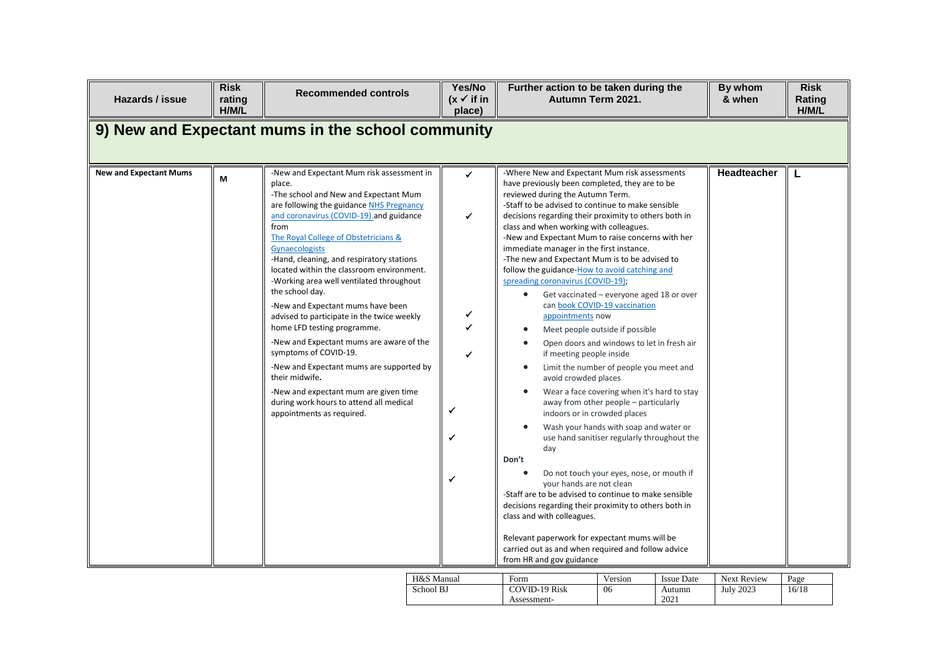| Hazards / issue                                   | <b>Risk</b><br>rating<br>H/M/L | <b>Recommended controls</b>                                                                                                                                                                                                                                                                                                                                                                                                                                                                                                                                                                                                                                                                                                                                                          | Yes/No<br>$(x \vee$ if in<br>place) | Further action to be taken during the<br>Autumn Term 2021.                                                                                                                                                                                                                                                                                                                                                                                                                                                                                                                                                                                                                                                                                                                                                                                                                                                                                                                   |                                                                                                                                                                                                                                                                                                                                                                                                                                      |                             | By whom<br>& when        | <b>Risk</b><br>Rating<br>H/M/L |
|---------------------------------------------------|--------------------------------|--------------------------------------------------------------------------------------------------------------------------------------------------------------------------------------------------------------------------------------------------------------------------------------------------------------------------------------------------------------------------------------------------------------------------------------------------------------------------------------------------------------------------------------------------------------------------------------------------------------------------------------------------------------------------------------------------------------------------------------------------------------------------------------|-------------------------------------|------------------------------------------------------------------------------------------------------------------------------------------------------------------------------------------------------------------------------------------------------------------------------------------------------------------------------------------------------------------------------------------------------------------------------------------------------------------------------------------------------------------------------------------------------------------------------------------------------------------------------------------------------------------------------------------------------------------------------------------------------------------------------------------------------------------------------------------------------------------------------------------------------------------------------------------------------------------------------|--------------------------------------------------------------------------------------------------------------------------------------------------------------------------------------------------------------------------------------------------------------------------------------------------------------------------------------------------------------------------------------------------------------------------------------|-----------------------------|--------------------------|--------------------------------|
| 9) New and Expectant mums in the school community |                                |                                                                                                                                                                                                                                                                                                                                                                                                                                                                                                                                                                                                                                                                                                                                                                                      |                                     |                                                                                                                                                                                                                                                                                                                                                                                                                                                                                                                                                                                                                                                                                                                                                                                                                                                                                                                                                                              |                                                                                                                                                                                                                                                                                                                                                                                                                                      |                             |                          |                                |
| <b>New and Expectant Mums</b>                     | M                              | -New and Expectant Mum risk assessment in<br>place.<br>-The school and New and Expectant Mum<br>are following the guidance NHS Pregnancy<br>and coronavirus (COVID-19) and guidance<br>from<br>The Royal College of Obstetricians &<br>Gynaecologists<br>-Hand, cleaning, and respiratory stations<br>located within the classroom environment.<br>-Working area well ventilated throughout<br>the school day.<br>-New and Expectant mums have been<br>advised to participate in the twice weekly<br>home LFD testing programme.<br>-New and Expectant mums are aware of the<br>symptoms of COVID-19.<br>-New and Expectant mums are supported by<br>their midwife.<br>-New and expectant mum are given time<br>during work hours to attend all medical<br>appointments as required. | ✓<br>✔<br>✓<br>✓<br>✓<br>✓          | -Where New and Expectant Mum risk assessments<br>have previously been completed, they are to be<br>reviewed during the Autumn Term.<br>-Staff to be advised to continue to make sensible<br>decisions regarding their proximity to others both in<br>class and when working with colleagues.<br>-New and Expectant Mum to raise concerns with her<br>immediate manager in the first instance.<br>-The new and Expectant Mum is to be advised to<br>follow the guidance-How to avoid catching and<br>spreading coronavirus (COVID-19);<br>appointments now<br>if meeting people inside<br>avoid crowded places<br>indoors or in crowded places<br>day<br>Don't<br>your hands are not clean<br>-Staff are to be advised to continue to make sensible<br>decisions regarding their proximity to others both in<br>class and with colleagues.<br>Relevant paperwork for expectant mums will be<br>carried out as and when required and follow advice<br>from HR and gov guidance | Get vaccinated - everyone aged 18 or over<br>can book COVID-19 vaccination<br>Meet people outside if possible<br>Open doors and windows to let in fresh air<br>Limit the number of people you meet and<br>Wear a face covering when it's hard to stay<br>away from other people - particularly<br>Wash your hands with soap and water or<br>use hand sanitiser regularly throughout the<br>Do not touch your eyes, nose, or mouth if |                             | <b>Headteacher</b>       |                                |
|                                                   |                                |                                                                                                                                                                                                                                                                                                                                                                                                                                                                                                                                                                                                                                                                                                                                                                                      | H&S Manual<br>School BJ             | Form<br><b>COVID-19 Risk</b>                                                                                                                                                                                                                                                                                                                                                                                                                                                                                                                                                                                                                                                                                                                                                                                                                                                                                                                                                 | Version<br>06                                                                                                                                                                                                                                                                                                                                                                                                                        | <b>Issue Date</b><br>Autumn | Next Review<br>July 2023 | Page<br>16/18                  |

Assessment-

2021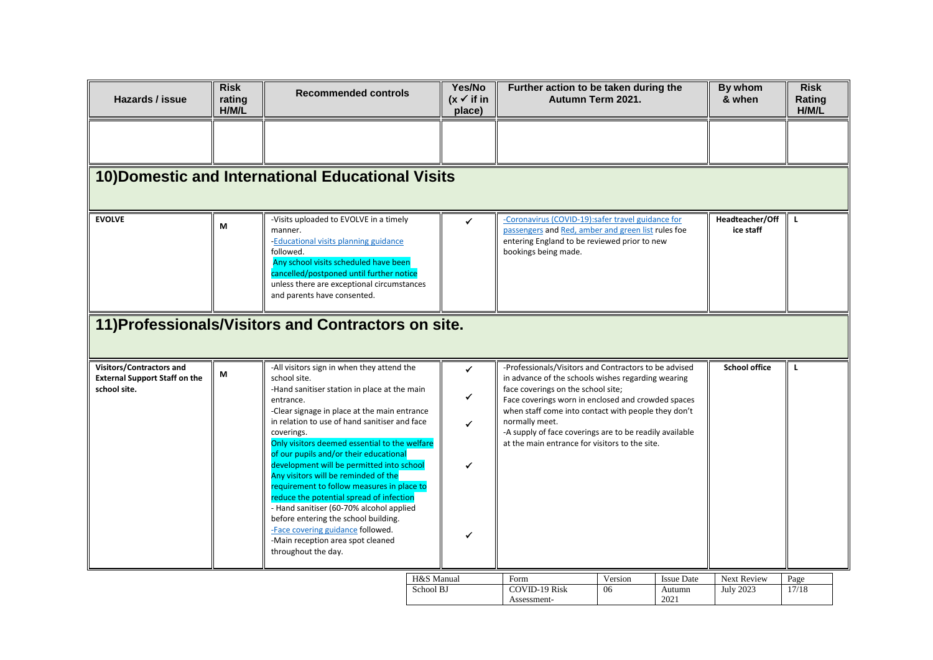| Hazards / issue                                                                  | <b>Risk</b><br>rating<br>H/M/L | <b>Recommended controls</b>                                                                                                                                                                                                                                                                                                                                                                                                                                                                                                                                                                                                                                                                           | Yes/No<br>$(x \vee$ if in<br>place)         |                                                                                                                                                                                 | Further action to be taken during the<br>Autumn Term 2021.                                                                                                                                                                                                                                                                                                                                          |                                     |                                 | <b>Risk</b><br>Rating<br>H/M/L |
|----------------------------------------------------------------------------------|--------------------------------|-------------------------------------------------------------------------------------------------------------------------------------------------------------------------------------------------------------------------------------------------------------------------------------------------------------------------------------------------------------------------------------------------------------------------------------------------------------------------------------------------------------------------------------------------------------------------------------------------------------------------------------------------------------------------------------------------------|---------------------------------------------|---------------------------------------------------------------------------------------------------------------------------------------------------------------------------------|-----------------------------------------------------------------------------------------------------------------------------------------------------------------------------------------------------------------------------------------------------------------------------------------------------------------------------------------------------------------------------------------------------|-------------------------------------|---------------------------------|--------------------------------|
|                                                                                  |                                |                                                                                                                                                                                                                                                                                                                                                                                                                                                                                                                                                                                                                                                                                                       |                                             |                                                                                                                                                                                 |                                                                                                                                                                                                                                                                                                                                                                                                     |                                     |                                 |                                |
|                                                                                  |                                | 10) Domestic and International Educational Visits                                                                                                                                                                                                                                                                                                                                                                                                                                                                                                                                                                                                                                                     |                                             |                                                                                                                                                                                 |                                                                                                                                                                                                                                                                                                                                                                                                     |                                     |                                 |                                |
| <b>EVOLVE</b>                                                                    | M                              | -Visits uploaded to EVOLVE in a timely<br>manner.<br>-Educational visits planning guidance<br>followed.<br>Any school visits scheduled have been<br>cancelled/postponed until further notice<br>unless there are exceptional circumstances<br>and parents have consented.                                                                                                                                                                                                                                                                                                                                                                                                                             | ✓                                           | -Coronavirus (COVID-19):safer travel guidance for<br>passengers and Red, amber and green list rules foe<br>entering England to be reviewed prior to new<br>bookings being made. |                                                                                                                                                                                                                                                                                                                                                                                                     |                                     | Headteacher/Off<br>ice staff    | L.                             |
| 11) Professionals/Visitors and Contractors on site.                              |                                |                                                                                                                                                                                                                                                                                                                                                                                                                                                                                                                                                                                                                                                                                                       |                                             |                                                                                                                                                                                 |                                                                                                                                                                                                                                                                                                                                                                                                     |                                     |                                 |                                |
| Visitors/Contractors and<br><b>External Support Staff on the</b><br>school site. | M                              | -All visitors sign in when they attend the<br>school site.<br>-Hand sanitiser station in place at the main<br>entrance.<br>-Clear signage in place at the main entrance<br>in relation to use of hand sanitiser and face<br>coverings.<br>Only visitors deemed essential to the welfare<br>of our pupils and/or their educational<br>development will be permitted into school<br>Any visitors will be reminded of the<br>requirement to follow measures in place to<br>reduce the potential spread of infection<br>- Hand sanitiser (60-70% alcohol applied<br>before entering the school building.<br>-Face covering guidance followed.<br>-Main reception area spot cleaned<br>throughout the day. | $\checkmark$<br>✔<br>$\checkmark$<br>✓<br>✔ | normally meet.                                                                                                                                                                  | <b>School office</b><br>-Professionals/Visitors and Contractors to be advised<br>in advance of the schools wishes regarding wearing<br>face coverings on the school site;<br>Face coverings worn in enclosed and crowded spaces<br>when staff come into contact with people they don't<br>-A supply of face coverings are to be readily available<br>at the main entrance for visitors to the site. |                                     |                                 | L.                             |
|                                                                                  |                                |                                                                                                                                                                                                                                                                                                                                                                                                                                                                                                                                                                                                                                                                                                       | H&S Manual<br>School BJ                     | Form<br><b>COVID-19 Risk</b><br>Assessment-                                                                                                                                     | Version<br>06                                                                                                                                                                                                                                                                                                                                                                                       | <b>Issue Date</b><br>Autumn<br>2021 | Next Review<br><b>July 2023</b> | Page<br>17/18                  |